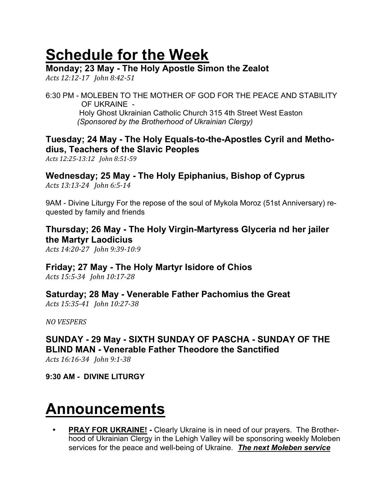# Schedule for the Week

### Monday; 23 May - The Holy Apostle Simon the Zealot

Acts 12:12-17 John 8:42-51

6:30 PM - MOLEBEN TO THE MOTHER OF GOD FOR THE PEACE AND STABILITY OF UKRAINE - Holy Ghost Ukrainian Catholic Church 315 4th Street West Easton (Sponsored by the Brotherhood of Ukrainian Clergy)

### Tuesday; 24 May - The Holy Equals-to-the-Apostles Cyril and Methodius, Teachers of the Slavic Peoples

Acts 12:25-13:12 John 8:51-59

# Wednesday; 25 May - The Holy Epiphanius, Bishop of Cyprus

Acts 13:13-24 John 6:5-14

9AM - Divine Liturgy For the repose of the soul of Mykola Moroz (51st Anniversary) requested by family and friends

# Thursday; 26 May - The Holy Virgin-Martyress Glyceria nd her jailer the Martyr Laodicius

Acts 14:20-27 John 9:39-10:9

### Friday; 27 May - The Holy Martyr Isidore of Chios

Acts 15:5-34 John 10:17-28

# Saturday; 28 May - Venerable Father Pachomius the Great

Acts 15:35-41 John 10:27-38

NO VESPERS

SUNDAY - 29 May - SIXTH SUNDAY OF PASCHA - SUNDAY OF THE BLIND MAN - Venerable Father Theodore the Sanctified Acts 16:16-34 John 9:1-38

9:30 AM - DIVINE LITURGY

# Announcements

**PRAY FOR UKRAINE!** - Clearly Ukraine is in need of our prayers. The Brotherhood of Ukrainian Clergy in the Lehigh Valley will be sponsoring weekly Moleben services for the peace and well-being of Ukraine. The next Moleben service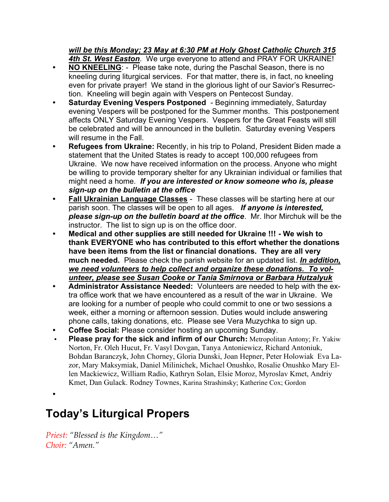# will be this Monday; 23 May at 6:30 PM at Holy Ghost Catholic Church 315

4th St. West Easton. We urge everyone to attend and PRAY FOR UKRAINE!

- NO KNEELING: Please take note, during the Paschal Season, there is no kneeling during liturgical services. For that matter, there is, in fact, no kneeling even for private prayer! We stand in the glorious light of our Savior's Resurrection. Kneeling will begin again with Vespers on Pentecost Sunday.
- Saturday Evening Vespers Postponed Beginning immediately, Saturday evening Vespers will be postponed for the Summer months. This postponement affects ONLY Saturday Evening Vespers. Vespers for the Great Feasts will still be celebrated and will be announced in the bulletin. Saturday evening Vespers will resume in the Fall.
- Refugees from Ukraine: Recently, in his trip to Poland, President Biden made a statement that the United States is ready to accept 100,000 refugees from Ukraine. We now have received information on the process. Anyone who might be willing to provide temporary shelter for any Ukrainian individual or families that might need a home. If you are interested or know someone who is, please sign-up on the bulletin at the office
- **Fall Ukrainian Language Classes These classes will be starting here at our** parish soon. The classes will be open to all ages. If anyone is interested, please sign-up on the bulletin board at the office. Mr. Ihor Mirchuk will be the instructor. The list to sign up is on the office door.
- Medical and other supplies are still needed for Ukraine !!! We wish to thank EVERYONE who has contributed to this effort whether the donations have been items from the list or financial donations. They are all very much needed. Please check the parish website for an updated list. In addition, we need volunteers to help collect and organize these donations. To volunteer, please see Susan Cooke or Tania Smirnova or Barbara Hutzalyuk
- Administrator Assistance Needed: Volunteers are needed to help with the extra office work that we have encountered as a result of the war in Ukraine. We are looking for a number of people who could commit to one or two sessions a week, either a morning or afternoon session. Duties would include answering phone calls, taking donations, etc. Please see Vera Muzychka to sign up.
- Coffee Social: Please consider hosting an upcoming Sunday.
- Please pray for the sick and infirm of our Church: Metropolitan Antony; Fr. Yakiw Norton, Fr. Oleh Hucut, Fr. Vasyl Dovgan, Tanya Antoniewicz, Richard Antoniuk, Bohdan Baranczyk, John Chorney, Gloria Dunski, Joan Hepner, Peter Holowiak Eva Lazor, Mary Maksymiak, Daniel Milinichek, Michael Onushko, Rosalie Onushko Mary Ellen Mackiewicz, William Radio, Kathryn Solan, Elsie Moroz, Myroslav Kmet, Andriy Kmet, Dan Gulack. Rodney Townes, Karina Strashinsky; Katherine Cox; Gordon

•

# Today's Liturgical Propers

Priest: "Blessed is the Kingdom…" Choir: "Amen."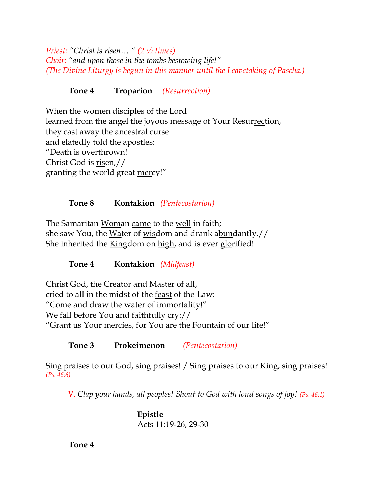Priest: "Christ is risen… " (2 ½ times) Choir: "and upon those in the tombs bestowing life!" (The Divine Liturgy is begun in this manner until the Leavetaking of Pascha.)

Tone 4 Troparion (Resurrection)

When the women disciples of the Lord learned from the angel the joyous message of Your Resurrection, they cast away the ancestral curse and elatedly told the apostles: "Death is overthrown! Christ God is risen,// granting the world great mercy!"

#### Tone 8 Kontakion (Pentecostarion)

The Samaritan Woman came to the well in faith; she saw You, the Water of wisdom and drank abundantly.// She inherited the Kingdom on high, and is ever glorified!

Tone 4 Kontakion (Midfeast)

Christ God, the Creator and Master of all, cried to all in the midst of the feast of the Law: "Come and draw the water of immortality!" We fall before You and faithfully cry:// "Grant us Your mercies, for You are the Fountain of our life!"

Tone 3 Prokeimenon (Pentecostarion)

Sing praises to our God, sing praises! / Sing praises to our King, sing praises! (Ps. 46:6)

V. Clap your hands, all peoples! Shout to God with loud songs of joy! (Ps. 46:1)

Epistle Acts 11:19-26, 29-30

Tone 4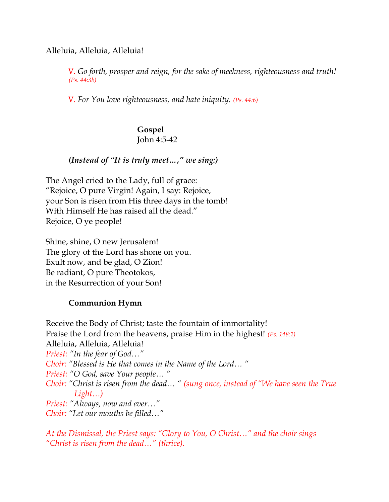Alleluia, Alleluia, Alleluia!

V. Go forth, prosper and reign, for the sake of meekness, righteousness and truth! (Ps. 44:3b)

V. For You love righteousness, and hate iniquity. (Ps. 44:6)

## Gospel John 4:5-42

### (Instead of "It is truly meet…," we sing:)

The Angel cried to the Lady, full of grace: "Rejoice, O pure Virgin! Again, I say: Rejoice, your Son is risen from His three days in the tomb! With Himself He has raised all the dead." Rejoice, O ye people!

Shine, shine, O new Jerusalem! The glory of the Lord has shone on you. Exult now, and be glad, O Zion! Be radiant, O pure Theotokos, in the Resurrection of your Son!

### Communion Hymn

Receive the Body of Christ; taste the fountain of immortality! Praise the Lord from the heavens, praise Him in the highest! (Ps. 148:1) Alleluia, Alleluia, Alleluia! Priest: "In the fear of God…" Choir: "Blessed is He that comes in the Name of the Lord… " Priest: "O God, save Your people… " Choir: "Christ is risen from the dead… " (sung once, instead of "We have seen the True Light…) Priest: "Always, now and ever…" Choir: "Let our mouths be filled…"

At the Dismissal, the Priest says: "Glory to You, O Christ…" and the choir sings "Christ is risen from the dead…" (thrice).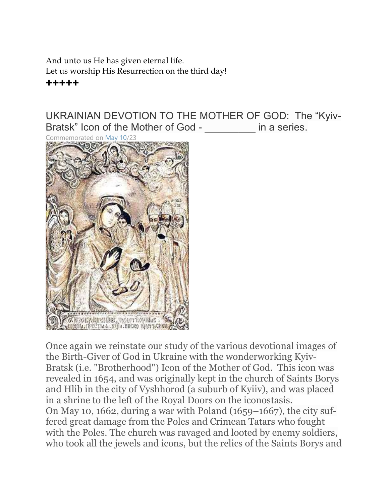And unto us He has given eternal life. Let us worship His Resurrection on the third day! +++++

UKRAINIAN DEVOTION TO THE MOTHER OF GOD: The "Kyiv-Bratsk" Icon of the Mother of God - The aseries.



Once again we reinstate our study of the various devotional images of the Birth-Giver of God in Ukraine with the wonderworking Kyiv-Bratsk (i.e. "Brotherhood") Icon of the Mother of God. This icon was revealed in 1654, and was originally kept in the church of Saints Borys and Hlib in the city of Vyshhorod (a suburb of Kyiiv), and was placed in a shrine to the left of the Royal Doors on the iconostasis. On May 10, 1662, during a war with Poland (1659–1667), the city suffered great damage from the Poles and Crimean Tatars who fought with the Poles. The church was ravaged and looted by enemy soldiers, who took all the jewels and icons, but the relics of the Saints Borys and